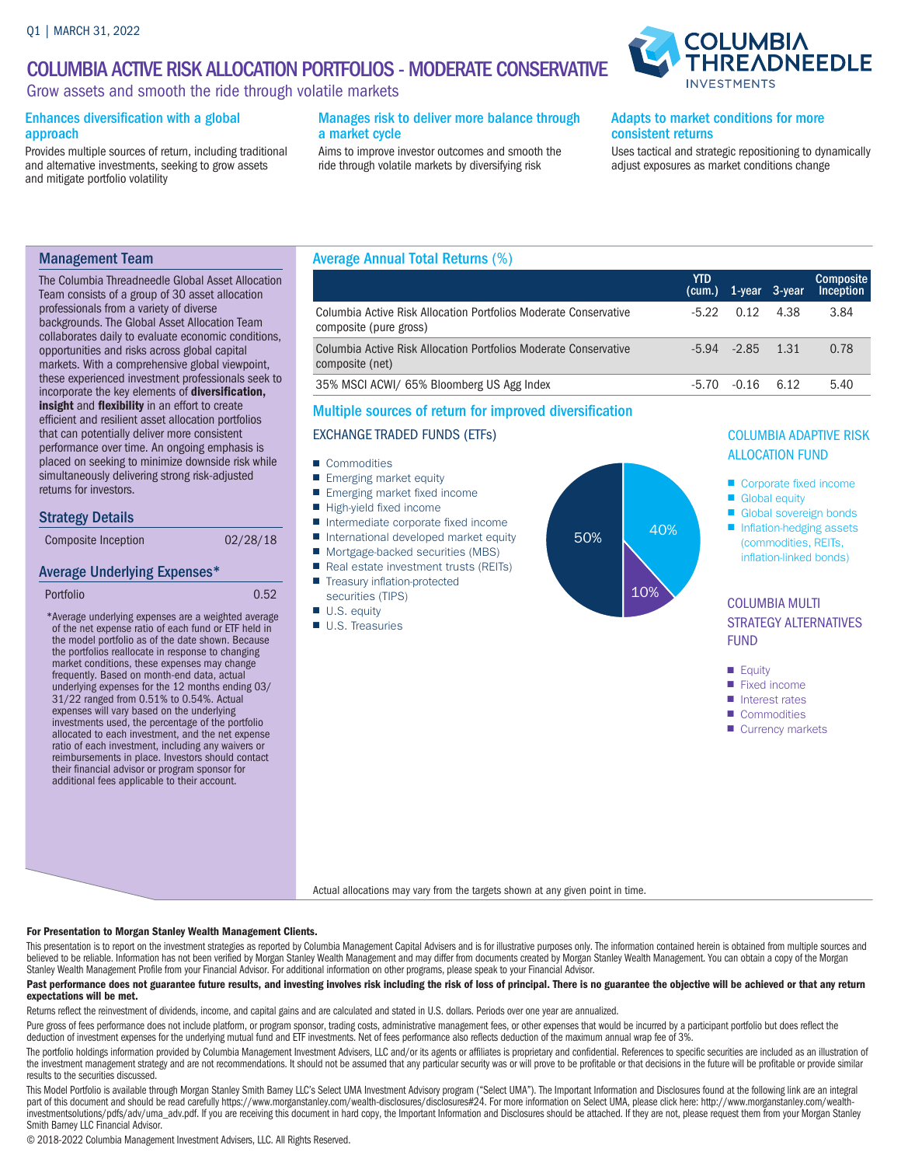## COLUMBIA ACTIVE RISK ALLOCATION PORTFOLIOS - MODERATE CONSERVATIVE

Grow assets and smooth the ride through volatile markets

### Enhances diversification with a global approach

Provides multiple sources of return, including traditional and alternative investments, seeking to grow assets and mitigate portfolio volatility

### Manages risk to deliver more balance through a market cycle

Aims to improve investor outcomes and smooth the ride through volatile markets by diversifying risk

### Adapts to market conditions for more consistent returns

Uses tactical and strategic repositioning to dynamically adjust exposures as market conditions change

**COLUMBIA** 

**\DNEEDLE** 

## Management Team

The Columbia Threadneedle Global Asset Allocation Team consists of a group of 30 asset allocation professionals from a variety of diverse backgrounds. The Global Asset Allocation Team collaborates daily to evaluate economic conditions, opportunities and risks across global capital markets. With a comprehensive global viewpoint, these experienced investment professionals seek to incorporate the key elements of diversification, insight and flexibility in an effort to create efficient and resilient asset allocation portfolios that can potentially deliver more consistent performance over time. An ongoing emphasis is placed on seeking to minimize downside risk while simultaneously delivering strong risk-adjusted returns for investors.

### Strategy Details

## Average Underlying Expenses\*

```
Portfolio 0.52
```
\* Average underlying expenses are a weighted average of the net expense ratio of each fund or ETF held in the model portfolio as of the date shown. Because the portfolios reallocate in response to changing market conditions, these expenses may change frequently. Based on month-end data, actual underlying expenses for the 12 months ending 03/ 31/22 ranged from 0.51% to 0.54%. Actual expenses will vary based on the underlying investments used, the percentage of the portfolio allocated to each investment, and the net expense ratio of each investment, including any waivers or reimbursements in place. Investors should contact their financial advisor or program sponsor for additional fees applicable to their account.

### Average Annual Total Returns (%)

|                                                                                            | <b>YTD</b> | (cum.) 1-year 3-year |                   | <b>Composite</b><br>Inception |
|--------------------------------------------------------------------------------------------|------------|----------------------|-------------------|-------------------------------|
| Columbia Active Risk Allocation Portfolios Moderate Conservative<br>composite (pure gross) | $-5.22$    |                      | $0.12 \quad 4.38$ | 3.84                          |
| Columbia Active Risk Allocation Portfolios Moderate Conservative<br>composite (net)        |            | $-5.94$ $-2.85$ 1.31 |                   | 0.78                          |
| 35% MSCI ACWI/ 65% Bloomberg US Agg Index                                                  | $-5.70$    | $-0.16$              | 6.12              | 5.40                          |

### Multiple sources of return for improved diversification

### EXCHANGE TRADED FUNDS (ETFs)

- Commodities
- Emerging market equity
- Emerging market fixed income
- High-yield fixed income
- Intermediate corporate fixed income
- International developed market equity
- Mortgage-backed securities (MBS)
- Real estate investment trusts (REITs)
- Treasury inflation-protected securities (TIPS)
- U.S. equity
- U.S. Treasuries



# COLUMBIA ADAPTIVE RISK

- Corporate fixed income
- Global equity
- Global sovereign bonds
- Inflation-hedging assets (commodities, REITs, inflation-linked bonds)

## COLUMBIA MULTI STRATEGY ALTERNATIVES FUND

- Equity
- Fixed income
- Interest rates
- Commodities
- Currency markets

Actual allocations may vary from the targets shown at any given point in time.

### For Presentation to Morgan Stanley Wealth Management Clients.

This presentation is to report on the investment strategies as reported by Columbia Management Capital Advisers and is for illustrative purposes only. The information contained herein is obtained from multiple sources and believed to be reliable. Information has not been verified by Morgan Stanley Wealth Management and may differ from documents created by Morgan Stanley Wealth Management. You can obtain a copy of the Morgan Stanley Wealth Management Profile from your Financial Advisor. For additional information on other programs, please speak to your Financial Advisor.

#### Past performance does not guarantee future results, and investing involves risk including the risk of loss of principal. There is no guarantee the objective will be achieved or that any return expectations will be met.

Returns reflect the reinvestment of dividends, income, and capital gains and are calculated and stated in U.S. dollars. Periods over one year are annualized.

Pure gross of fees performance does not include platform, or program sponsor, trading costs, administrative management fees, or other expenses that would be incurred by a participant portfolio but does reflect the deduction of investment expenses for the underlying mutual fund and ETF investments. Net of fees performance also reflects deduction of the maximum annual wrap fee of 3%.

The portfolio holdings information provided by Columbia Management Investment Advisers, LLC and/or its agents or affiliates is proprietary and confidential. References to specific securities are included as an illustration the investment management strategy and are not recommendations. It should not be assumed that any particular security was or will prove to be profitable or that decisions in the future will be profitable or provide similar results to the securities discussed.

This Model Portfolio is available through Morgan Stanley Smith Barney LLC's Select UMA Investment Advisory program ("Select UMA"). The Important Information and Disclosures found at the following link are an integral part of this document and should be read carefully https://www.morganstanley.com/wealth-disclosures/disclosures#24. For more information on Select UMA, please click here: http://www.morganstanley.com/wealth-<br>investmentsolu Smith Barney LLC Financial Advisor.

© 2018-2022 Columbia Management Investment Advisers, LLC. All Rights Reserved.